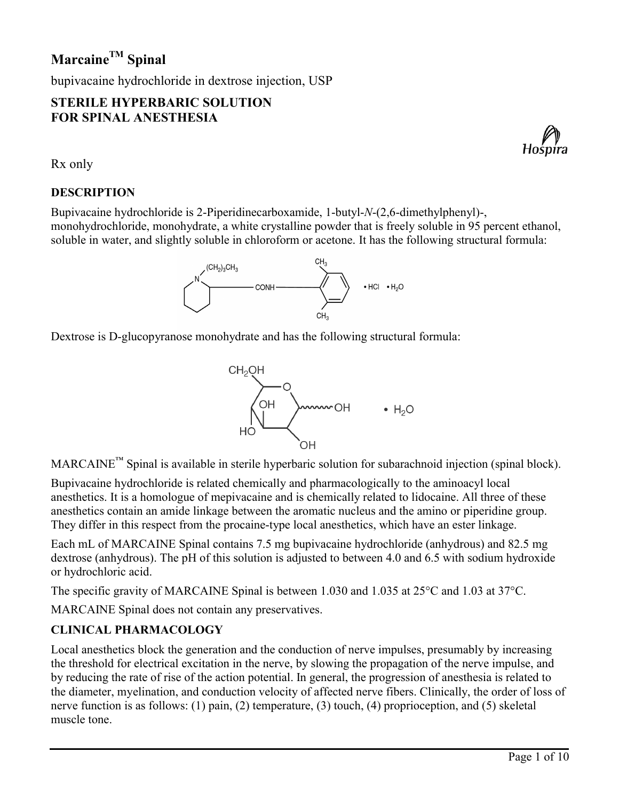# **MarcaineTM Spinal**

bupivacaine hydrochloride in dextrose injection, USP

#### **STERILE HYPERBARIC SOLUTION FOR SPINAL ANESTHESIA**



Rx only

#### **DESCRIPTION**

Bupivacaine hydrochloride is 2-Piperidinecarboxamide, 1-butyl-*N*-(2,6-dimethylphenyl)-, monohydrochloride, monohydrate, a white crystalline powder that is freely soluble in 95 percent ethanol, soluble in water, and slightly soluble in chloroform or acetone. It has the following structural formula:

> $\cdot$  HCl  $\cdot$  H<sub>2</sub>O  $COMH -$





MARCAINE™ Spinal is available in sterile hyperbaric solution for subarachnoid injection (spinal block).

Bupivacaine hydrochloride is related chemically and pharmacologically to the aminoacyl local anesthetics. It is a homologue of mepivacaine and is chemically related to lidocaine. All three of these anesthetics contain an amide linkage between the aromatic nucleus and the amino or piperidine group. They differ in this respect from the procaine-type local anesthetics, which have an ester linkage.

Each mL of MARCAINE Spinal contains 7.5 mg bupivacaine hydrochloride (anhydrous) and 82.5 mg dextrose (anhydrous). The pH of this solution is adjusted to between 4.0 and 6.5 with sodium hydroxide or hydrochloric acid.

The specific gravity of MARCAINE Spinal is between 1.030 and 1.035 at 25°C and 1.03 at 37°C.

MARCAINE Spinal does not contain any preservatives.

#### **CLINICAL PHARMACOLOGY**

Local anesthetics block the generation and the conduction of nerve impulses, presumably by increasing the threshold for electrical excitation in the nerve, by slowing the propagation of the nerve impulse, and by reducing the rate of rise of the action potential. In general, the progression of anesthesia is related to the diameter, myelination, and conduction velocity of affected nerve fibers. Clinically, the order of loss of nerve function is as follows: (1) pain, (2) temperature, (3) touch, (4) proprioception, and (5) skeletal muscle tone.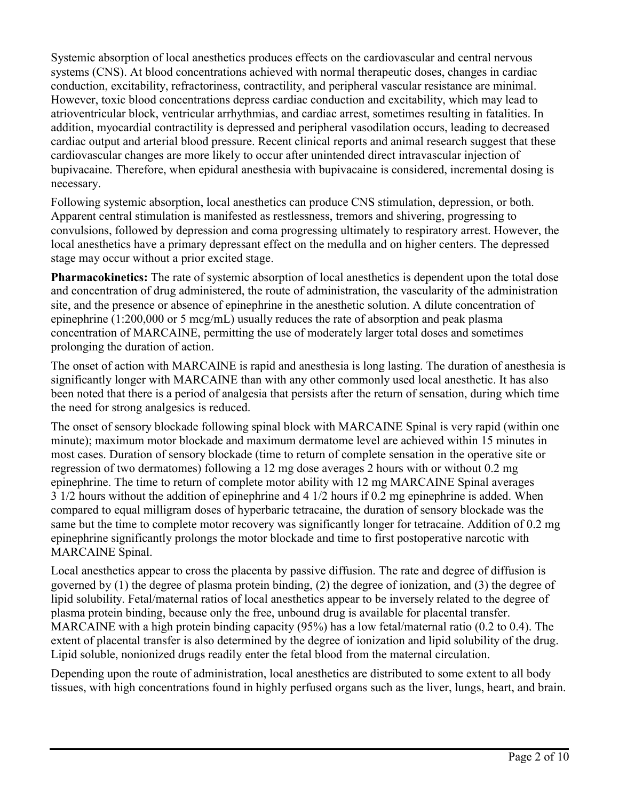Systemic absorption of local anesthetics produces effects on the cardiovascular and central nervous systems (CNS). At blood concentrations achieved with normal therapeutic doses, changes in cardiac conduction, excitability, refractoriness, contractility, and peripheral vascular resistance are minimal. However, toxic blood concentrations depress cardiac conduction and excitability, which may lead to atrioventricular block, ventricular arrhythmias, and cardiac arrest, sometimes resulting in fatalities. In addition, myocardial contractility is depressed and peripheral vasodilation occurs, leading to decreased cardiac output and arterial blood pressure. Recent clinical reports and animal research suggest that these cardiovascular changes are more likely to occur after unintended direct intravascular injection of bupivacaine. Therefore, when epidural anesthesia with bupivacaine is considered, incremental dosing is necessary.

Following systemic absorption, local anesthetics can produce CNS stimulation, depression, or both. Apparent central stimulation is manifested as restlessness, tremors and shivering, progressing to convulsions, followed by depression and coma progressing ultimately to respiratory arrest. However, the local anesthetics have a primary depressant effect on the medulla and on higher centers. The depressed stage may occur without a prior excited stage.

**Pharmacokinetics:** The rate of systemic absorption of local anesthetics is dependent upon the total dose and concentration of drug administered, the route of administration, the vascularity of the administration site, and the presence or absence of epinephrine in the anesthetic solution. A dilute concentration of epinephrine (1:200,000 or 5 mcg/mL) usually reduces the rate of absorption and peak plasma concentration of MARCAINE, permitting the use of moderately larger total doses and sometimes prolonging the duration of action.

The onset of action with MARCAINE is rapid and anesthesia is long lasting. The duration of anesthesia is significantly longer with MARCAINE than with any other commonly used local anesthetic. It has also been noted that there is a period of analgesia that persists after the return of sensation, during which time the need for strong analgesics is reduced.

The onset of sensory blockade following spinal block with MARCAINE Spinal is very rapid (within one minute); maximum motor blockade and maximum dermatome level are achieved within 15 minutes in most cases. Duration of sensory blockade (time to return of complete sensation in the operative site or regression of two dermatomes) following a 12 mg dose averages 2 hours with or without 0.2 mg epinephrine. The time to return of complete motor ability with 12 mg MARCAINE Spinal averages 3 1/2 hours without the addition of epinephrine and 4 1/2 hours if 0.2 mg epinephrine is added. When compared to equal milligram doses of hyperbaric tetracaine, the duration of sensory blockade was the same but the time to complete motor recovery was significantly longer for tetracaine. Addition of 0.2 mg epinephrine significantly prolongs the motor blockade and time to first postoperative narcotic with MARCAINE Spinal.

Local anesthetics appear to cross the placenta by passive diffusion. The rate and degree of diffusion is governed by (1) the degree of plasma protein binding, (2) the degree of ionization, and (3) the degree of lipid solubility. Fetal/maternal ratios of local anesthetics appear to be inversely related to the degree of plasma protein binding, because only the free, unbound drug is available for placental transfer. MARCAINE with a high protein binding capacity (95%) has a low fetal/maternal ratio (0.2 to 0.4). The extent of placental transfer is also determined by the degree of ionization and lipid solubility of the drug. Lipid soluble, nonionized drugs readily enter the fetal blood from the maternal circulation.

Depending upon the route of administration, local anesthetics are distributed to some extent to all body tissues, with high concentrations found in highly perfused organs such as the liver, lungs, heart, and brain.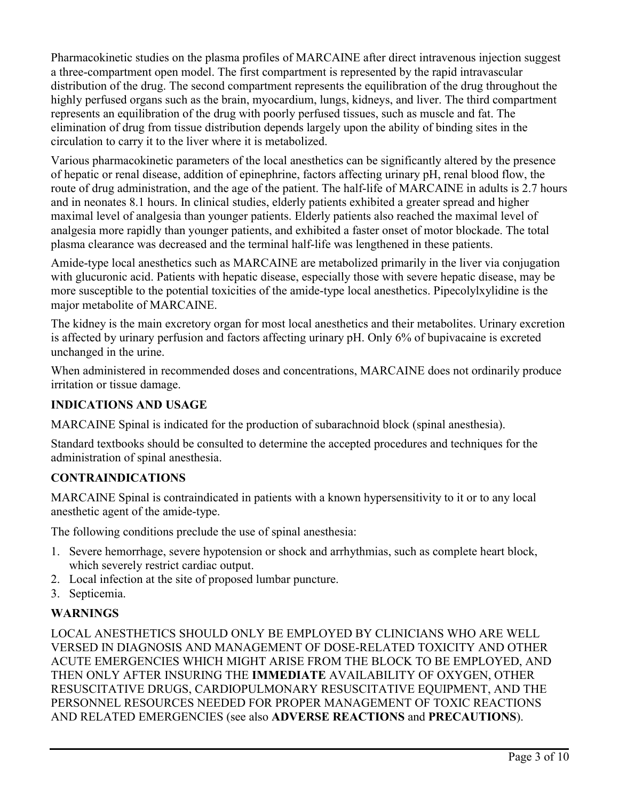Pharmacokinetic studies on the plasma profiles of MARCAINE after direct intravenous injection suggest a three-compartment open model. The first compartment is represented by the rapid intravascular distribution of the drug. The second compartment represents the equilibration of the drug throughout the highly perfused organs such as the brain, myocardium, lungs, kidneys, and liver. The third compartment represents an equilibration of the drug with poorly perfused tissues, such as muscle and fat. The elimination of drug from tissue distribution depends largely upon the ability of binding sites in the circulation to carry it to the liver where it is metabolized.

Various pharmacokinetic parameters of the local anesthetics can be significantly altered by the presence of hepatic or renal disease, addition of epinephrine, factors affecting urinary pH, renal blood flow, the route of drug administration, and the age of the patient. The half-life of MARCAINE in adults is 2.7 hours and in neonates 8.1 hours. In clinical studies, elderly patients exhibited a greater spread and higher maximal level of analgesia than younger patients. Elderly patients also reached the maximal level of analgesia more rapidly than younger patients, and exhibited a faster onset of motor blockade. The total plasma clearance was decreased and the terminal half-life was lengthened in these patients.

Amide-type local anesthetics such as MARCAINE are metabolized primarily in the liver via conjugation with glucuronic acid. Patients with hepatic disease, especially those with severe hepatic disease, may be more susceptible to the potential toxicities of the amide-type local anesthetics. Pipecolylxylidine is the major metabolite of MARCAINE.

The kidney is the main excretory organ for most local anesthetics and their metabolites. Urinary excretion is affected by urinary perfusion and factors affecting urinary pH. Only 6% of bupivacaine is excreted unchanged in the urine.

When administered in recommended doses and concentrations, MARCAINE does not ordinarily produce irritation or tissue damage.

## **INDICATIONS AND USAGE**

MARCAINE Spinal is indicated for the production of subarachnoid block (spinal anesthesia).

Standard textbooks should be consulted to determine the accepted procedures and techniques for the administration of spinal anesthesia.

# **CONTRAINDICATIONS**

MARCAINE Spinal is contraindicated in patients with a known hypersensitivity to it or to any local anesthetic agent of the amide-type.

The following conditions preclude the use of spinal anesthesia:

- 1. Severe hemorrhage, severe hypotension or shock and arrhythmias, such as complete heart block, which severely restrict cardiac output.
- 2. Local infection at the site of proposed lumbar puncture.
- 3. Septicemia.

# **WARNINGS**

LOCAL ANESTHETICS SHOULD ONLY BE EMPLOYED BY CLINICIANS WHO ARE WELL VERSED IN DIAGNOSIS AND MANAGEMENT OF DOSE-RELATED TOXICITY AND OTHER ACUTE EMERGENCIES WHICH MIGHT ARISE FROM THE BLOCK TO BE EMPLOYED, AND THEN ONLY AFTER INSURING THE **IMMEDIATE** AVAILABILITY OF OXYGEN, OTHER RESUSCITATIVE DRUGS, CARDIOPULMONARY RESUSCITATIVE EQUIPMENT, AND THE PERSONNEL RESOURCES NEEDED FOR PROPER MANAGEMENT OF TOXIC REACTIONS AND RELATED EMERGENCIES (see also **ADVERSE REACTIONS** and **PRECAUTIONS**).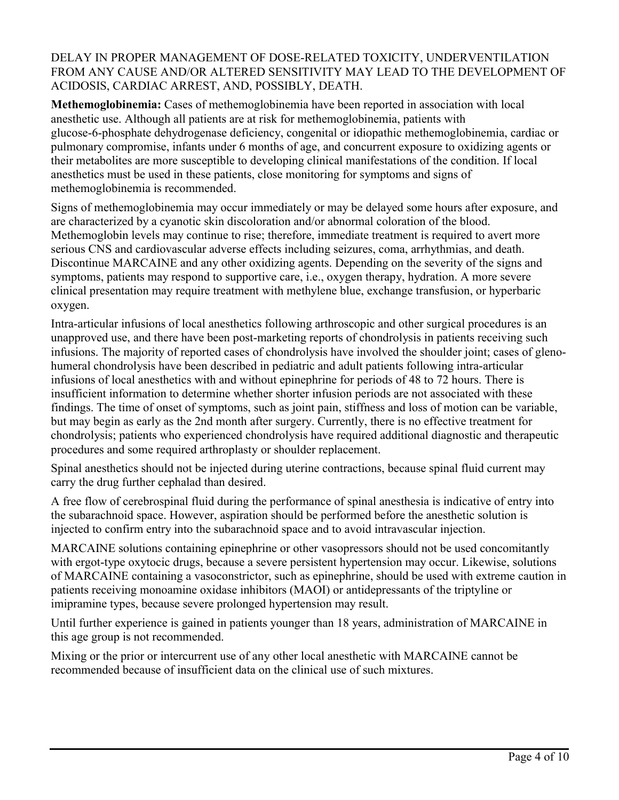#### DELAY IN PROPER MANAGEMENT OF DOSE-RELATED TOXICITY, UNDERVENTILATION FROM ANY CAUSE AND/OR ALTERED SENSITIVITY MAY LEAD TO THE DEVELOPMENT OF ACIDOSIS, CARDIAC ARREST, AND, POSSIBLY, DEATH.

**Methemoglobinemia:** Cases of methemoglobinemia have been reported in association with local anesthetic use. Although all patients are at risk for methemoglobinemia, patients with glucose-6-phosphate dehydrogenase deficiency, congenital or idiopathic methemoglobinemia, cardiac or pulmonary compromise, infants under 6 months of age, and concurrent exposure to oxidizing agents or their metabolites are more susceptible to developing clinical manifestations of the condition. If local anesthetics must be used in these patients, close monitoring for symptoms and signs of methemoglobinemia is recommended.

Signs of methemoglobinemia may occur immediately or may be delayed some hours after exposure, and are characterized by a cyanotic skin discoloration and/or abnormal coloration of the blood. Methemoglobin levels may continue to rise; therefore, immediate treatment is required to avert more serious CNS and cardiovascular adverse effects including seizures, coma, arrhythmias, and death. Discontinue MARCAINE and any other oxidizing agents. Depending on the severity of the signs and symptoms, patients may respond to supportive care, i.e., oxygen therapy, hydration. A more severe clinical presentation may require treatment with methylene blue, exchange transfusion, or hyperbaric oxygen.

Intra-articular infusions of local anesthetics following arthroscopic and other surgical procedures is an unapproved use, and there have been post-marketing reports of chondrolysis in patients receiving such infusions. The majority of reported cases of chondrolysis have involved the shoulder joint; cases of glenohumeral chondrolysis have been described in pediatric and adult patients following intra-articular infusions of local anesthetics with and without epinephrine for periods of 48 to 72 hours. There is insufficient information to determine whether shorter infusion periods are not associated with these findings. The time of onset of symptoms, such as joint pain, stiffness and loss of motion can be variable, but may begin as early as the 2nd month after surgery. Currently, there is no effective treatment for chondrolysis; patients who experienced chondrolysis have required additional diagnostic and therapeutic procedures and some required arthroplasty or shoulder replacement.

Spinal anesthetics should not be injected during uterine contractions, because spinal fluid current may carry the drug further cephalad than desired.

A free flow of cerebrospinal fluid during the performance of spinal anesthesia is indicative of entry into the subarachnoid space. However, aspiration should be performed before the anesthetic solution is injected to confirm entry into the subarachnoid space and to avoid intravascular injection.

MARCAINE solutions containing epinephrine or other vasopressors should not be used concomitantly with ergot-type oxytocic drugs, because a severe persistent hypertension may occur. Likewise, solutions of MARCAINE containing a vasoconstrictor, such as epinephrine, should be used with extreme caution in patients receiving monoamine oxidase inhibitors (MAOI) or antidepressants of the triptyline or imipramine types, because severe prolonged hypertension may result.

Until further experience is gained in patients younger than 18 years, administration of MARCAINE in this age group is not recommended.

Mixing or the prior or intercurrent use of any other local anesthetic with MARCAINE cannot be recommended because of insufficient data on the clinical use of such mixtures.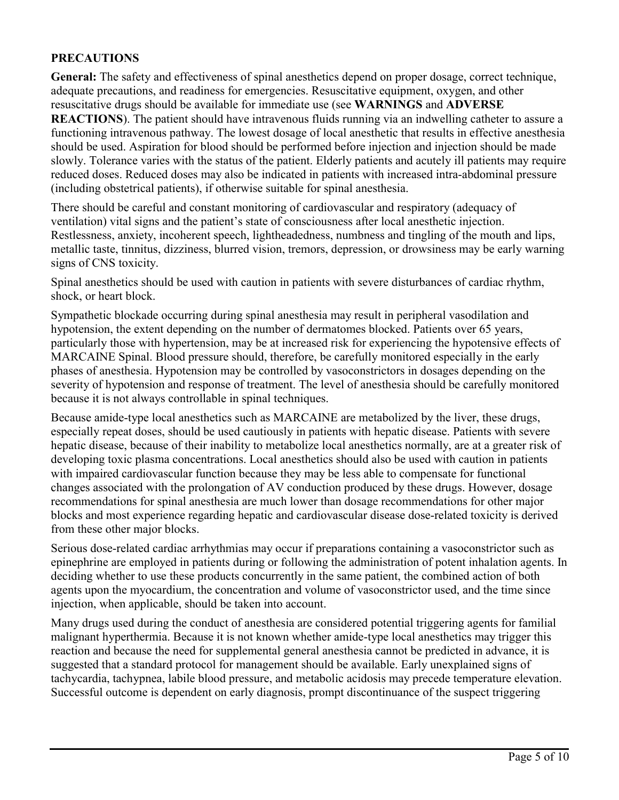## **PRECAUTIONS**

**General:** The safety and effectiveness of spinal anesthetics depend on proper dosage, correct technique, adequate precautions, and readiness for emergencies. Resuscitative equipment, oxygen, and other resuscitative drugs should be available for immediate use (see **WARNINGS** and **ADVERSE REACTIONS**). The patient should have intravenous fluids running via an indwelling catheter to assure a functioning intravenous pathway. The lowest dosage of local anesthetic that results in effective anesthesia should be used. Aspiration for blood should be performed before injection and injection should be made slowly. Tolerance varies with the status of the patient. Elderly patients and acutely ill patients may require reduced doses. Reduced doses may also be indicated in patients with increased intra-abdominal pressure (including obstetrical patients), if otherwise suitable for spinal anesthesia.

There should be careful and constant monitoring of cardiovascular and respiratory (adequacy of ventilation) vital signs and the patient's state of consciousness after local anesthetic injection. Restlessness, anxiety, incoherent speech, lightheadedness, numbness and tingling of the mouth and lips, metallic taste, tinnitus, dizziness, blurred vision, tremors, depression, or drowsiness may be early warning signs of CNS toxicity.

Spinal anesthetics should be used with caution in patients with severe disturbances of cardiac rhythm, shock, or heart block.

Sympathetic blockade occurring during spinal anesthesia may result in peripheral vasodilation and hypotension, the extent depending on the number of dermatomes blocked. Patients over 65 years, particularly those with hypertension, may be at increased risk for experiencing the hypotensive effects of MARCAINE Spinal. Blood pressure should, therefore, be carefully monitored especially in the early phases of anesthesia. Hypotension may be controlled by vasoconstrictors in dosages depending on the severity of hypotension and response of treatment. The level of anesthesia should be carefully monitored because it is not always controllable in spinal techniques.

Because amide-type local anesthetics such as MARCAINE are metabolized by the liver, these drugs, especially repeat doses, should be used cautiously in patients with hepatic disease. Patients with severe hepatic disease, because of their inability to metabolize local anesthetics normally, are at a greater risk of developing toxic plasma concentrations. Local anesthetics should also be used with caution in patients with impaired cardiovascular function because they may be less able to compensate for functional changes associated with the prolongation of AV conduction produced by these drugs. However, dosage recommendations for spinal anesthesia are much lower than dosage recommendations for other major blocks and most experience regarding hepatic and cardiovascular disease dose-related toxicity is derived from these other major blocks.

Serious dose-related cardiac arrhythmias may occur if preparations containing a vasoconstrictor such as epinephrine are employed in patients during or following the administration of potent inhalation agents. In deciding whether to use these products concurrently in the same patient, the combined action of both agents upon the myocardium, the concentration and volume of vasoconstrictor used, and the time since injection, when applicable, should be taken into account.

Many drugs used during the conduct of anesthesia are considered potential triggering agents for familial malignant hyperthermia. Because it is not known whether amide-type local anesthetics may trigger this reaction and because the need for supplemental general anesthesia cannot be predicted in advance, it is suggested that a standard protocol for management should be available. Early unexplained signs of tachycardia, tachypnea, labile blood pressure, and metabolic acidosis may precede temperature elevation. Successful outcome is dependent on early diagnosis, prompt discontinuance of the suspect triggering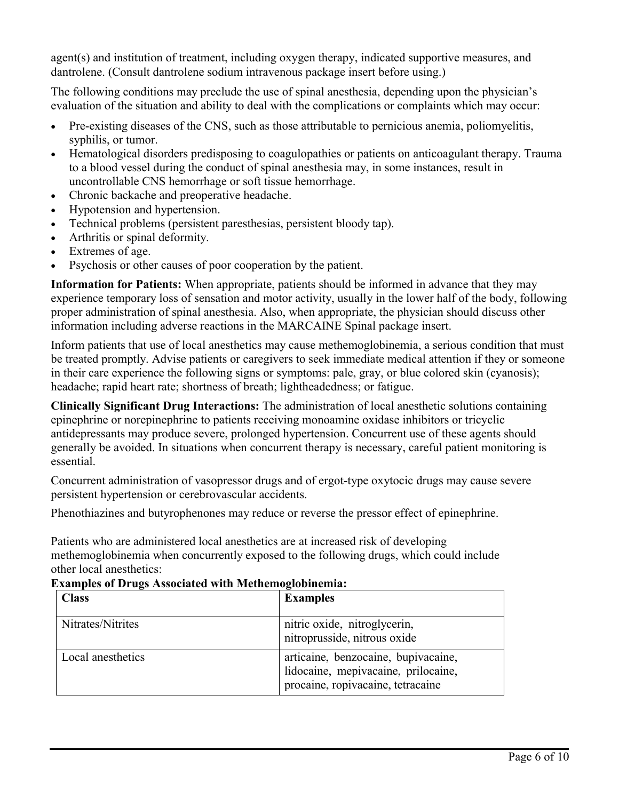agent(s) and institution of treatment, including oxygen therapy, indicated supportive measures, and dantrolene. (Consult dantrolene sodium intravenous package insert before using.)

The following conditions may preclude the use of spinal anesthesia, depending upon the physician's evaluation of the situation and ability to deal with the complications or complaints which may occur:

- Pre-existing diseases of the CNS, such as those attributable to pernicious anemia, poliomyelitis, syphilis, or tumor.
- Hematological disorders predisposing to coagulopathies or patients on anticoagulant therapy. Trauma to a blood vessel during the conduct of spinal anesthesia may, in some instances, result in uncontrollable CNS hemorrhage or soft tissue hemorrhage.
- Chronic backache and preoperative headache.
- Hypotension and hypertension.
- Technical problems (persistent paresthesias, persistent bloody tap).
- Arthritis or spinal deformity.
- Extremes of age.
- Psychosis or other causes of poor cooperation by the patient.

**Information for Patients:** When appropriate, patients should be informed in advance that they may experience temporary loss of sensation and motor activity, usually in the lower half of the body, following proper administration of spinal anesthesia. Also, when appropriate, the physician should discuss other information including adverse reactions in the MARCAINE Spinal package insert.

Inform patients that use of local anesthetics may cause methemoglobinemia, a serious condition that must be treated promptly. Advise patients or caregivers to seek immediate medical attention if they or someone in their care experience the following signs or symptoms: pale, gray, or blue colored skin (cyanosis); headache; rapid heart rate; shortness of breath; lightheadedness; or fatigue.

**Clinically Significant Drug Interactions:** The administration of local anesthetic solutions containing epinephrine or norepinephrine to patients receiving monoamine oxidase inhibitors or tricyclic antidepressants may produce severe, prolonged hypertension. Concurrent use of these agents should generally be avoided. In situations when concurrent therapy is necessary, careful patient monitoring is essential.

Concurrent administration of vasopressor drugs and of ergot-type oxytocic drugs may cause severe persistent hypertension or cerebrovascular accidents.

Phenothiazines and butyrophenones may reduce or reverse the pressor effect of epinephrine.

Patients who are administered local anesthetics are at increased risk of developing methemoglobinemia when concurrently exposed to the following drugs, which could include other local anesthetics:

# **Class Examples** Nitrates/Nitrites nitroglycerin, nitroprusside, nitrous oxide Local anesthetics articaine, benzocaine, bupivacaine, bupivacaine, bupivacaine, bupivacaine, bupivacaine, bupivacaine, bupivacaine, bupivacaine, bupivacaine, bupivacaine, bupivacaine, bupivacaine, bupivacaine, bupivacaine, lidocaine, mepivacaine, prilocaine, procaine, ropivacaine, tetracaine

#### **Examples of Drugs Associated with Methemoglobinemia:**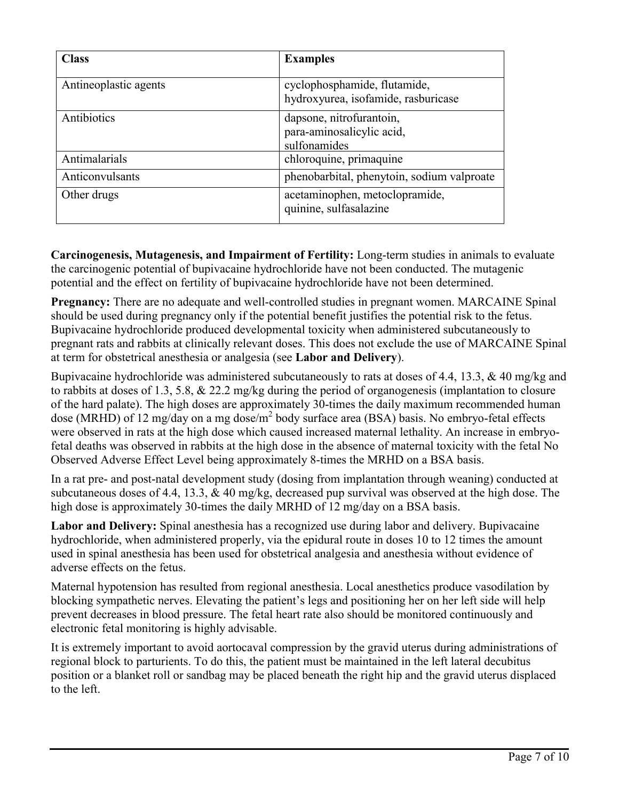| <b>Class</b>          | <b>Examples</b>                                                       |
|-----------------------|-----------------------------------------------------------------------|
| Antineoplastic agents | cyclophosphamide, flutamide,<br>hydroxyurea, isofamide, rasburicase   |
| Antibiotics           | dapsone, nitrofurantoin,<br>para-aminosalicylic acid,<br>sulfonamides |
| Antimalarials         | chloroquine, primaquine                                               |
| Anticonvulsants       | phenobarbital, phenytoin, sodium valproate                            |
| Other drugs           | acetaminophen, metoclopramide,<br>quinine, sulfasalazine              |

**Carcinogenesis, Mutagenesis, and Impairment of Fertility:** Long-term studies in animals to evaluate the carcinogenic potential of bupivacaine hydrochloride have not been conducted. The mutagenic potential and the effect on fertility of bupivacaine hydrochloride have not been determined.

**Pregnancy:** There are no adequate and well-controlled studies in pregnant women. MARCAINE Spinal should be used during pregnancy only if the potential benefit justifies the potential risk to the fetus. Bupivacaine hydrochloride produced developmental toxicity when administered subcutaneously to pregnant rats and rabbits at clinically relevant doses. This does not exclude the use of MARCAINE Spinal at term for obstetrical anesthesia or analgesia (see **Labor and Delivery**).

Bupivacaine hydrochloride was administered subcutaneously to rats at doses of 4.4, 13.3, & 40 mg/kg and to rabbits at doses of 1.3, 5.8, & 22.2 mg/kg during the period of organogenesis (implantation to closure of the hard palate). The high doses are approximately 30-times the daily maximum recommended human dose (MRHD) of 12 mg/day on a mg dose/m<sup>2</sup> body surface area (BSA) basis. No embryo-fetal effects were observed in rats at the high dose which caused increased maternal lethality. An increase in embryofetal deaths was observed in rabbits at the high dose in the absence of maternal toxicity with the fetal No Observed Adverse Effect Level being approximately 8-times the MRHD on a BSA basis.

In a rat pre- and post-natal development study (dosing from implantation through weaning) conducted at subcutaneous doses of 4.4, 13.3, & 40 mg/kg, decreased pup survival was observed at the high dose. The high dose is approximately 30-times the daily MRHD of 12 mg/day on a BSA basis.

**Labor and Delivery:** Spinal anesthesia has a recognized use during labor and delivery. Bupivacaine hydrochloride, when administered properly, via the epidural route in doses 10 to 12 times the amount used in spinal anesthesia has been used for obstetrical analgesia and anesthesia without evidence of adverse effects on the fetus.

Maternal hypotension has resulted from regional anesthesia. Local anesthetics produce vasodilation by blocking sympathetic nerves. Elevating the patient's legs and positioning her on her left side will help prevent decreases in blood pressure. The fetal heart rate also should be monitored continuously and electronic fetal monitoring is highly advisable.

It is extremely important to avoid aortocaval compression by the gravid uterus during administrations of regional block to parturients. To do this, the patient must be maintained in the left lateral decubitus position or a blanket roll or sandbag may be placed beneath the right hip and the gravid uterus displaced to the left.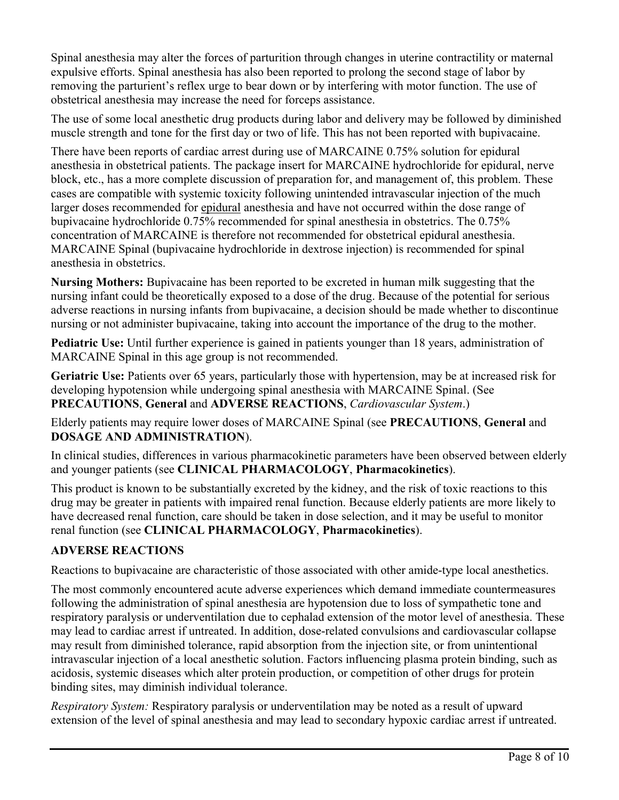Spinal anesthesia may alter the forces of parturition through changes in uterine contractility or maternal expulsive efforts. Spinal anesthesia has also been reported to prolong the second stage of labor by removing the parturient's reflex urge to bear down or by interfering with motor function. The use of obstetrical anesthesia may increase the need for forceps assistance.

The use of some local anesthetic drug products during labor and delivery may be followed by diminished muscle strength and tone for the first day or two of life. This has not been reported with bupivacaine.

There have been reports of cardiac arrest during use of MARCAINE 0.75% solution for epidural anesthesia in obstetrical patients. The package insert for MARCAINE hydrochloride for epidural, nerve block, etc., has a more complete discussion of preparation for, and management of, this problem. These cases are compatible with systemic toxicity following unintended intravascular injection of the much larger doses recommended for epidural anesthesia and have not occurred within the dose range of bupivacaine hydrochloride 0.75% recommended for spinal anesthesia in obstetrics. The 0.75% concentration of MARCAINE is therefore not recommended for obstetrical epidural anesthesia. MARCAINE Spinal (bupivacaine hydrochloride in dextrose injection) is recommended for spinal anesthesia in obstetrics.

**Nursing Mothers:** Bupivacaine has been reported to be excreted in human milk suggesting that the nursing infant could be theoretically exposed to a dose of the drug. Because of the potential for serious adverse reactions in nursing infants from bupivacaine, a decision should be made whether to discontinue nursing or not administer bupivacaine, taking into account the importance of the drug to the mother.

**Pediatric Use:** Until further experience is gained in patients younger than 18 years, administration of MARCAINE Spinal in this age group is not recommended.

**Geriatric Use:** Patients over 65 years, particularly those with hypertension, may be at increased risk for developing hypotension while undergoing spinal anesthesia with MARCAINE Spinal. (See **PRECAUTIONS**, **General** and **ADVERSE REACTIONS**, *Cardiovascular System*.)

Elderly patients may require lower doses of MARCAINE Spinal (see **PRECAUTIONS**, **General** and **DOSAGE AND ADMINISTRATION**).

In clinical studies, differences in various pharmacokinetic parameters have been observed between elderly and younger patients (see **CLINICAL PHARMACOLOGY**, **Pharmacokinetics**).

This product is known to be substantially excreted by the kidney, and the risk of toxic reactions to this drug may be greater in patients with impaired renal function. Because elderly patients are more likely to have decreased renal function, care should be taken in dose selection, and it may be useful to monitor renal function (see **CLINICAL PHARMACOLOGY**, **Pharmacokinetics**).

# **ADVERSE REACTIONS**

Reactions to bupivacaine are characteristic of those associated with other amide-type local anesthetics.

The most commonly encountered acute adverse experiences which demand immediate countermeasures following the administration of spinal anesthesia are hypotension due to loss of sympathetic tone and respiratory paralysis or underventilation due to cephalad extension of the motor level of anesthesia. These may lead to cardiac arrest if untreated. In addition, dose-related convulsions and cardiovascular collapse may result from diminished tolerance, rapid absorption from the injection site, or from unintentional intravascular injection of a local anesthetic solution. Factors influencing plasma protein binding, such as acidosis, systemic diseases which alter protein production, or competition of other drugs for protein binding sites, may diminish individual tolerance.

*Respiratory System:* Respiratory paralysis or underventilation may be noted as a result of upward extension of the level of spinal anesthesia and may lead to secondary hypoxic cardiac arrest if untreated.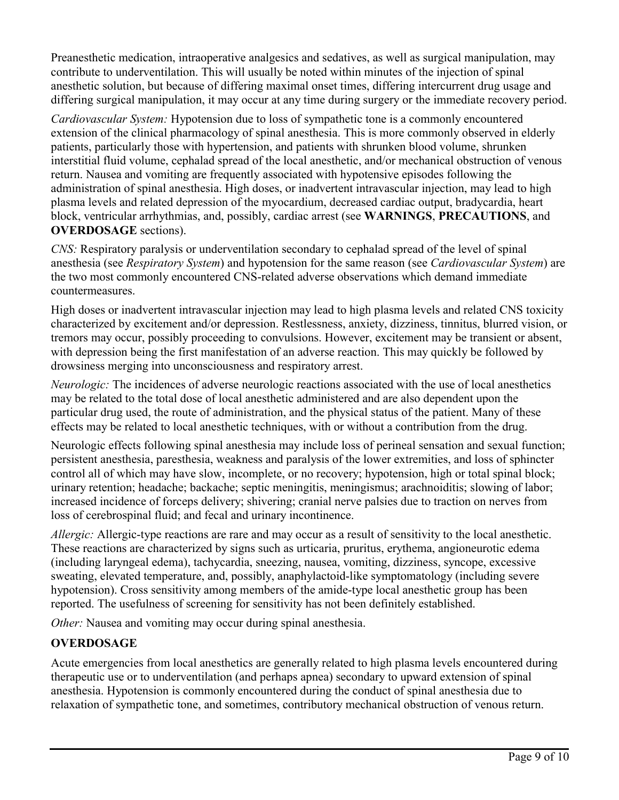Preanesthetic medication, intraoperative analgesics and sedatives, as well as surgical manipulation, may contribute to underventilation. This will usually be noted within minutes of the injection of spinal anesthetic solution, but because of differing maximal onset times, differing intercurrent drug usage and differing surgical manipulation, it may occur at any time during surgery or the immediate recovery period.

*Cardiovascular System:* Hypotension due to loss of sympathetic tone is a commonly encountered extension of the clinical pharmacology of spinal anesthesia. This is more commonly observed in elderly patients, particularly those with hypertension, and patients with shrunken blood volume, shrunken interstitial fluid volume, cephalad spread of the local anesthetic, and/or mechanical obstruction of venous return. Nausea and vomiting are frequently associated with hypotensive episodes following the administration of spinal anesthesia. High doses, or inadvertent intravascular injection, may lead to high plasma levels and related depression of the myocardium, decreased cardiac output, bradycardia, heart block, ventricular arrhythmias, and, possibly, cardiac arrest (see **WARNINGS**, **PRECAUTIONS**, and **OVERDOSAGE** sections).

*CNS:* Respiratory paralysis or underventilation secondary to cephalad spread of the level of spinal anesthesia (see *Respiratory System*) and hypotension for the same reason (see *Cardiovascular System*) are the two most commonly encountered CNS-related adverse observations which demand immediate countermeasures.

High doses or inadvertent intravascular injection may lead to high plasma levels and related CNS toxicity characterized by excitement and/or depression. Restlessness, anxiety, dizziness, tinnitus, blurred vision, or tremors may occur, possibly proceeding to convulsions. However, excitement may be transient or absent, with depression being the first manifestation of an adverse reaction. This may quickly be followed by drowsiness merging into unconsciousness and respiratory arrest.

*Neurologic:* The incidences of adverse neurologic reactions associated with the use of local anesthetics may be related to the total dose of local anesthetic administered and are also dependent upon the particular drug used, the route of administration, and the physical status of the patient. Many of these effects may be related to local anesthetic techniques, with or without a contribution from the drug.

Neurologic effects following spinal anesthesia may include loss of perineal sensation and sexual function; persistent anesthesia, paresthesia, weakness and paralysis of the lower extremities, and loss of sphincter control all of which may have slow, incomplete, or no recovery; hypotension, high or total spinal block; urinary retention; headache; backache; septic meningitis, meningismus; arachnoiditis; slowing of labor; increased incidence of forceps delivery; shivering; cranial nerve palsies due to traction on nerves from loss of cerebrospinal fluid; and fecal and urinary incontinence.

*Allergic:* Allergic-type reactions are rare and may occur as a result of sensitivity to the local anesthetic. These reactions are characterized by signs such as urticaria, pruritus, erythema, angioneurotic edema (including laryngeal edema), tachycardia, sneezing, nausea, vomiting, dizziness, syncope, excessive sweating, elevated temperature, and, possibly, anaphylactoid-like symptomatology (including severe hypotension). Cross sensitivity among members of the amide-type local anesthetic group has been reported. The usefulness of screening for sensitivity has not been definitely established.

*Other:* Nausea and vomiting may occur during spinal anesthesia.

# **OVERDOSAGE**

Acute emergencies from local anesthetics are generally related to high plasma levels encountered during therapeutic use or to underventilation (and perhaps apnea) secondary to upward extension of spinal anesthesia. Hypotension is commonly encountered during the conduct of spinal anesthesia due to relaxation of sympathetic tone, and sometimes, contributory mechanical obstruction of venous return.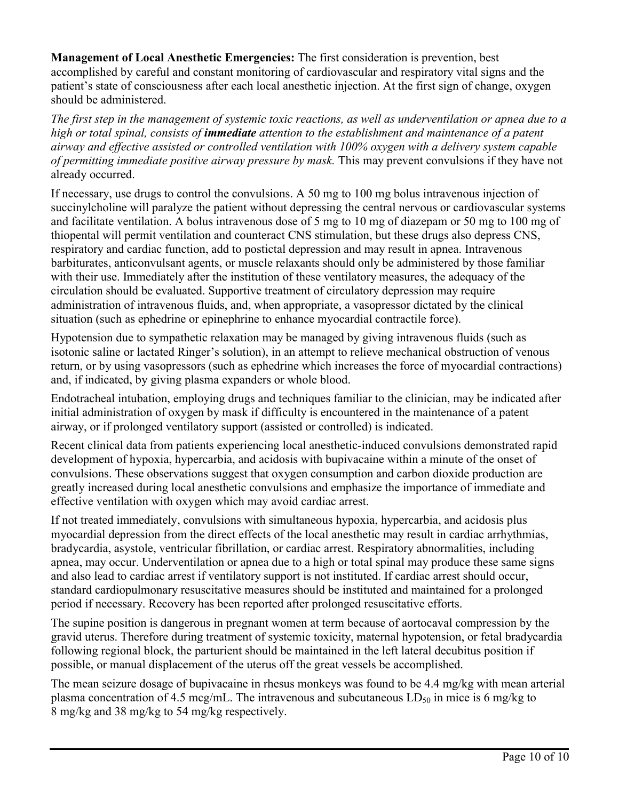**Management of Local Anesthetic Emergencies:** The first consideration is prevention, best accomplished by careful and constant monitoring of cardiovascular and respiratory vital signs and the patient's state of consciousness after each local anesthetic injection. At the first sign of change, oxygen should be administered.

*The first step in the management of systemic toxic reactions, as well as underventilation or apnea due to a high or total spinal, consists of immediate attention to the establishment and maintenance of a patent airway and effective assisted or controlled ventilation with 100% oxygen with a delivery system capable of permitting immediate positive airway pressure by mask.* This may prevent convulsions if they have not already occurred.

If necessary, use drugs to control the convulsions. A 50 mg to 100 mg bolus intravenous injection of succinylcholine will paralyze the patient without depressing the central nervous or cardiovascular systems and facilitate ventilation. A bolus intravenous dose of 5 mg to 10 mg of diazepam or 50 mg to 100 mg of thiopental will permit ventilation and counteract CNS stimulation, but these drugs also depress CNS, respiratory and cardiac function, add to postictal depression and may result in apnea. Intravenous barbiturates, anticonvulsant agents, or muscle relaxants should only be administered by those familiar with their use. Immediately after the institution of these ventilatory measures, the adequacy of the circulation should be evaluated. Supportive treatment of circulatory depression may require administration of intravenous fluids, and, when appropriate, a vasopressor dictated by the clinical situation (such as ephedrine or epinephrine to enhance myocardial contractile force).

Hypotension due to sympathetic relaxation may be managed by giving intravenous fluids (such as isotonic saline or lactated Ringer's solution), in an attempt to relieve mechanical obstruction of venous return, or by using vasopressors (such as ephedrine which increases the force of myocardial contractions) and, if indicated, by giving plasma expanders or whole blood.

Endotracheal intubation, employing drugs and techniques familiar to the clinician, may be indicated after initial administration of oxygen by mask if difficulty is encountered in the maintenance of a patent airway, or if prolonged ventilatory support (assisted or controlled) is indicated.

Recent clinical data from patients experiencing local anesthetic-induced convulsions demonstrated rapid development of hypoxia, hypercarbia, and acidosis with bupivacaine within a minute of the onset of convulsions. These observations suggest that oxygen consumption and carbon dioxide production are greatly increased during local anesthetic convulsions and emphasize the importance of immediate and effective ventilation with oxygen which may avoid cardiac arrest.

If not treated immediately, convulsions with simultaneous hypoxia, hypercarbia, and acidosis plus myocardial depression from the direct effects of the local anesthetic may result in cardiac arrhythmias, bradycardia, asystole, ventricular fibrillation, or cardiac arrest. Respiratory abnormalities, including apnea, may occur. Underventilation or apnea due to a high or total spinal may produce these same signs and also lead to cardiac arrest if ventilatory support is not instituted. If cardiac arrest should occur, standard cardiopulmonary resuscitative measures should be instituted and maintained for a prolonged period if necessary. Recovery has been reported after prolonged resuscitative efforts.

The supine position is dangerous in pregnant women at term because of aortocaval compression by the gravid uterus. Therefore during treatment of systemic toxicity, maternal hypotension, or fetal bradycardia following regional block, the parturient should be maintained in the left lateral decubitus position if possible, or manual displacement of the uterus off the great vessels be accomplished.

The mean seizure dosage of bupivacaine in rhesus monkeys was found to be 4.4 mg/kg with mean arterial plasma concentration of 4.5 mcg/mL. The intravenous and subcutaneous  $LD_{50}$  in mice is 6 mg/kg to 8 mg/kg and 38 mg/kg to 54 mg/kg respectively.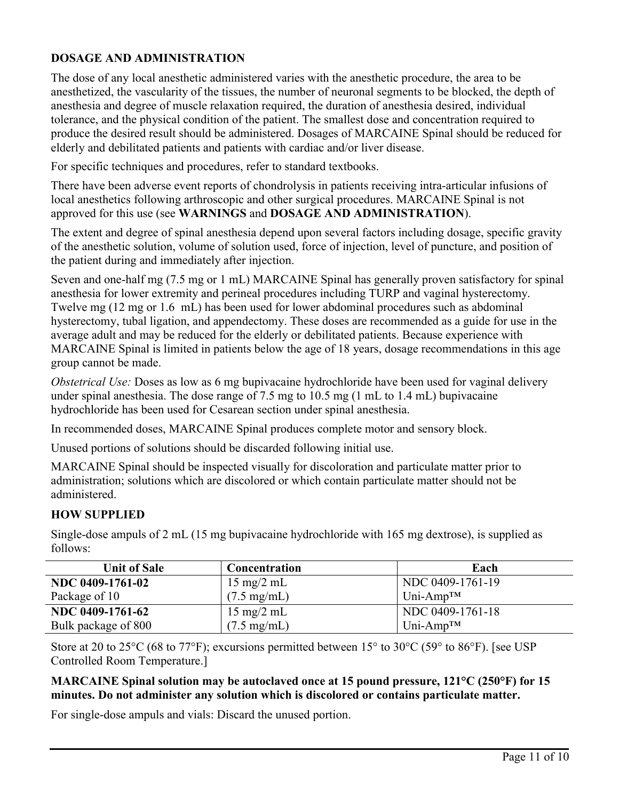## **DOSAGE AND ADMINISTRATION**

The dose of any local anesthetic administered varies with the anesthetic procedure, the area to be anesthetized, the vascularity of the tissues, the number of neuronal segments to be blocked, the depth of anesthesia and degree of muscle relaxation required, the duration of anesthesia desired, individual tolerance, and the physical condition of the patient. The smallest dose and concentration required to produce the desired result should be administered. Dosages of MARCAINE Spinal should be reduced for elderly and debilitated patients and patients with cardiac and/or liver disease.

For specific techniques and procedures, refer to standard textbooks.

There have been adverse event reports of chondrolysis in patients receiving intra-articular infusions of local anesthetics following arthroscopic and other surgical procedures. MARCAINE Spinal is not approved for this use (see **WARNINGS** and **DOSAGE AND ADMINISTRATION**).

The extent and degree of spinal anesthesia depend upon several factors including dosage, specific gravity of the anesthetic solution, volume of solution used, force of injection, level of puncture, and position of the patient during and immediately after injection.

Seven and one-half mg (7.5 mg or 1 mL) MARCAINE Spinal has generally proven satisfactory for spinal anesthesia for lower extremity and perineal procedures including TURP and vaginal hysterectomy. Twelve mg (12 mg or 1.6 mL) has been used for lower abdominal procedures such as abdominal hysterectomy, tubal ligation, and appendectomy. These doses are recommended as a guide for use in the average adult and may be reduced for the elderly or debilitated patients. Because experience with MARCAINE Spinal is limited in patients below the age of 18 years, dosage recommendations in this age group cannot be made.

*Obstetrical Use:* Doses as low as 6 mg bupivacaine hydrochloride have been used for vaginal delivery under spinal anesthesia. The dose range of 7.5 mg to 10.5 mg (1 mL to 1.4 mL) bupivacaine hydrochloride has been used for Cesarean section under spinal anesthesia.

In recommended doses, MARCAINE Spinal produces complete motor and sensory block.

Unused portions of solutions should be discarded following initial use.

MARCAINE Spinal should be inspected visually for discoloration and particulate matter prior to administration; solutions which are discolored or which contain particulate matter should not be administered.

## **HOW SUPPLIED**

**Unit of Sale Concentration Each NDC 0409-1761-02** Package of 10 15 mg/2 mL (7.5 mg/mL) NDC 0409-1761-19 Uni-Amp™ **NDC 0409-1761-62** Bulk package of 800 15 mg/2 mL (7.5 mg/mL) NDC 0409-1761-18 Uni-Amp™

Single-dose ampuls of 2 mL (15 mg bupivacaine hydrochloride with 165 mg dextrose), is supplied as follows:

Store at 20 to 25°C (68 to 77°F); excursions permitted between 15° to 30°C (59° to 86°F). [see USP Controlled Room Temperature.]

## **MARCAINE Spinal solution may be autoclaved once at 15 pound pressure, 121°C (250°F) for 15 minutes. Do not administer any solution which is discolored or contains particulate matter.**

For single-dose ampuls and vials: Discard the unused portion.